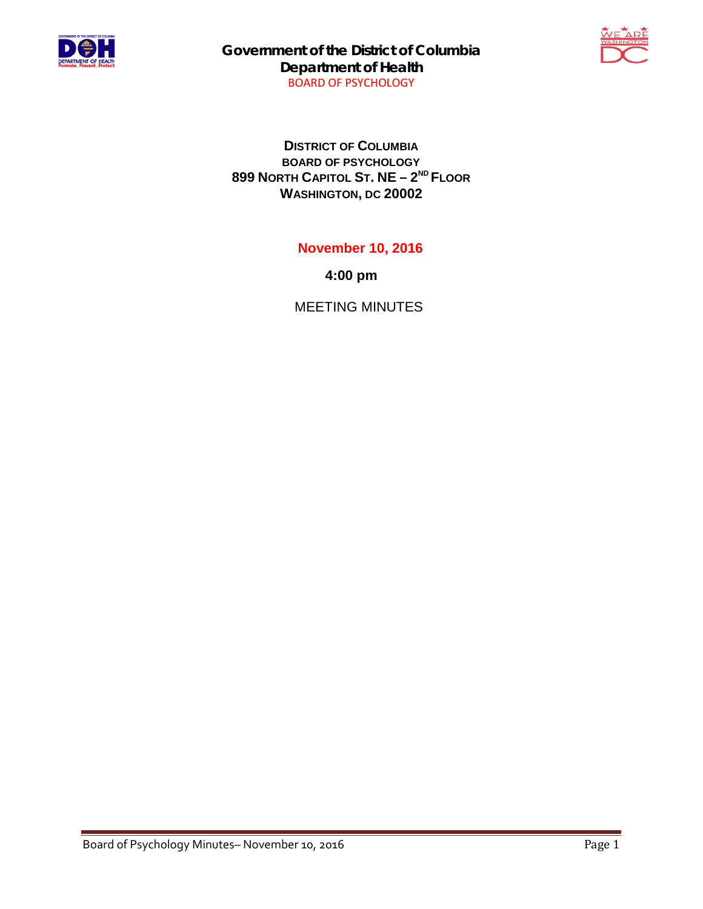

**Government of the District of Columbia Department of Health** BOARD OF PSYCHOLOGY



**DISTRICT OF COLUMBIA BOARD OF PSYCHOLOGY 899 NORTH CAPITOL ST. NE – 2ND FLOOR WASHINGTON, DC 20002**

**November 10, 2016**

**4:00 pm**

MEETING MINUTES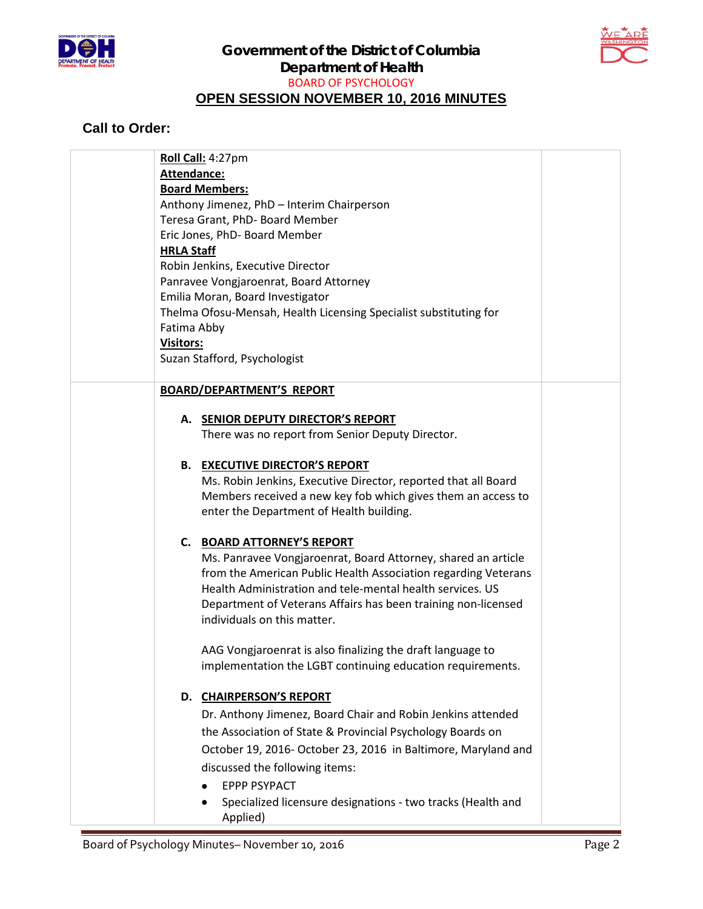



## **Call to Order:**

| Roll Call: 4:27pm                                                           |
|-----------------------------------------------------------------------------|
| Attendance:                                                                 |
| <b>Board Members:</b>                                                       |
| Anthony Jimenez, PhD - Interim Chairperson                                  |
| Teresa Grant, PhD- Board Member                                             |
| Eric Jones, PhD- Board Member                                               |
| <b>HRLA Staff</b>                                                           |
| Robin Jenkins, Executive Director<br>Panravee Vongjaroenrat, Board Attorney |
| Emilia Moran, Board Investigator                                            |
| Thelma Ofosu-Mensah, Health Licensing Specialist substituting for           |
| Fatima Abby                                                                 |
| <b>Visitors:</b>                                                            |
| Suzan Stafford, Psychologist                                                |
|                                                                             |
| <b>BOARD/DEPARTMENT'S REPORT</b>                                            |
|                                                                             |
| A. SENIOR DEPUTY DIRECTOR'S REPORT                                          |
| There was no report from Senior Deputy Director.                            |
|                                                                             |
| <b>B. EXECUTIVE DIRECTOR'S REPORT</b>                                       |
| Ms. Robin Jenkins, Executive Director, reported that all Board              |
| Members received a new key fob which gives them an access to                |
| enter the Department of Health building.                                    |
| C. BOARD ATTORNEY'S REPORT                                                  |
| Ms. Panravee Vongjaroenrat, Board Attorney, shared an article               |
| from the American Public Health Association regarding Veterans              |
| Health Administration and tele-mental health services. US                   |
| Department of Veterans Affairs has been training non-licensed               |
| individuals on this matter.                                                 |
|                                                                             |
| AAG Vongjaroenrat is also finalizing the draft language to                  |
| implementation the LGBT continuing education requirements.                  |
|                                                                             |
| D. CHAIRPERSON'S REPORT                                                     |
| Dr. Anthony Jimenez, Board Chair and Robin Jenkins attended                 |
| the Association of State & Provincial Psychology Boards on                  |
| October 19, 2016- October 23, 2016 in Baltimore, Maryland and               |
| discussed the following items:                                              |
| <b>EPPP PSYPACT</b>                                                         |
| Specialized licensure designations - two tracks (Health and                 |
| Applied)                                                                    |